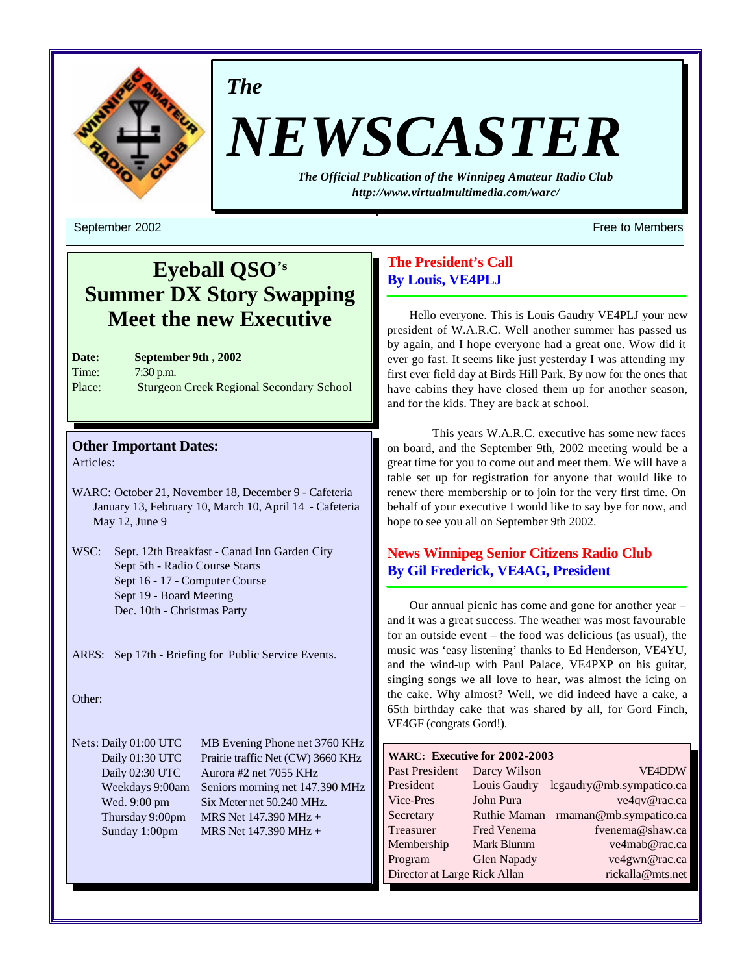

*The*

# *NEWSCASTER*

*The Official Publication of the Winnipeg Amateur Radio Club <http://www.virtualmultimedia.com/warc/>*

# **Eyeball QSO's Summer DX Story Swapping Meet the new Executive**

| <b>Date:</b> | <b>September 9th, 2002</b>                      |
|--------------|-------------------------------------------------|
| Time:        | $7:30$ p.m.                                     |
| Place:       | <b>Sturgeon Creek Regional Secondary School</b> |

# **Other Important Dates:**

Articles:

- WARC: October 21, November 18, December 9 Cafeteria January 13, February 10, March 10, April 14 - Cafeteria May 12, June 9
- WSC: Sept. 12th Breakfast Canad Inn Garden City Sept 5th - Radio Course Starts Sept 16 - 17 - Computer Course Sept 19 - Board Meeting Dec. 10th - Christmas Party

ARES: Sep 17th - Briefing for Public Service Events.

Other:

Nets: Daily 01:00 UTC MB Evening Phone net 3760 KHz Daily 01:30 UTC Prairie traffic Net (CW) 3660 KHz Daily 02:30 UTC Aurora #2 net 7055 KHz Weekdays 9:00am Seniors morning net 147.390 MHz Wed. 9:00 pm Six Meter net 50.240 MHz. Thursday 9:00pm MRS Net  $147.390 \text{ MHz} +$ Sunday 1:00pm MRS Net 147.390 MHz +

# **The President's Call By Louis, VE4PLJ**

Hello everyone. This is Louis Gaudry VE4PLJ your new president of W.A.R.C. Well another summer has passed us by again, and I hope everyone had a great one. Wow did it ever go fast. It seems like just yesterday I was attending my first ever field day at Birds Hill Park. By now for the ones that have cabins they have closed them up for another season, and for the kids. They are back at school.

This years W.A.R.C. executive has some new faces on board, and the September 9th, 2002 meeting would be a great time for you to come out and meet them. We will have a table set up for registration for anyone that would like to renew there membership or to join for the very first time. On behalf of your executive I would like to say bye for now, and hope to see you all on September 9th 2002.

# **News Winnipeg Senior Citizens Radio Club By Gil Frederick, VE4AG, President**

Our annual picnic has come and gone for another year – and it was a great success. The weather was most favourable for an outside event – the food was delicious (as usual), the music was 'easy listening' thanks to Ed Henderson, VE4YU, and the wind-up with Paul Palace, VE4PXP on his guitar, singing songs we all love to hear, was almost the icing on the cake. Why almost? Well, we did indeed have a cake, a 65th birthday cake that was shared by all, for Gord Finch, VE4GF (congrats Gord!).

| WARC: Executive for 2002-2003 |                     |                          |
|-------------------------------|---------------------|--------------------------|
| Past President                | Darcy Wilson        | <b>VE4DDW</b>            |
| President                     | Louis Gaudry        | lcgaudry@mb.sympatico.ca |
| Vice-Pres                     | John Pura           | ve4qv@rac.ca             |
| Secretary                     | <b>Ruthie Maman</b> | rmaman@mb.sympatico.ca   |
| Treasurer                     | Fred Venema         | fvenema@shaw.ca          |
| Membership                    | Mark Blumm          | ve4mab@rac.ca            |
| Program                       | <b>Glen Napady</b>  | ve4gwn@rac.ca            |
| Director at Large Rick Allan  |                     | rickalla@mts.net         |

September 2002 Free to Members and the september 2002 Free to Members and the september 2002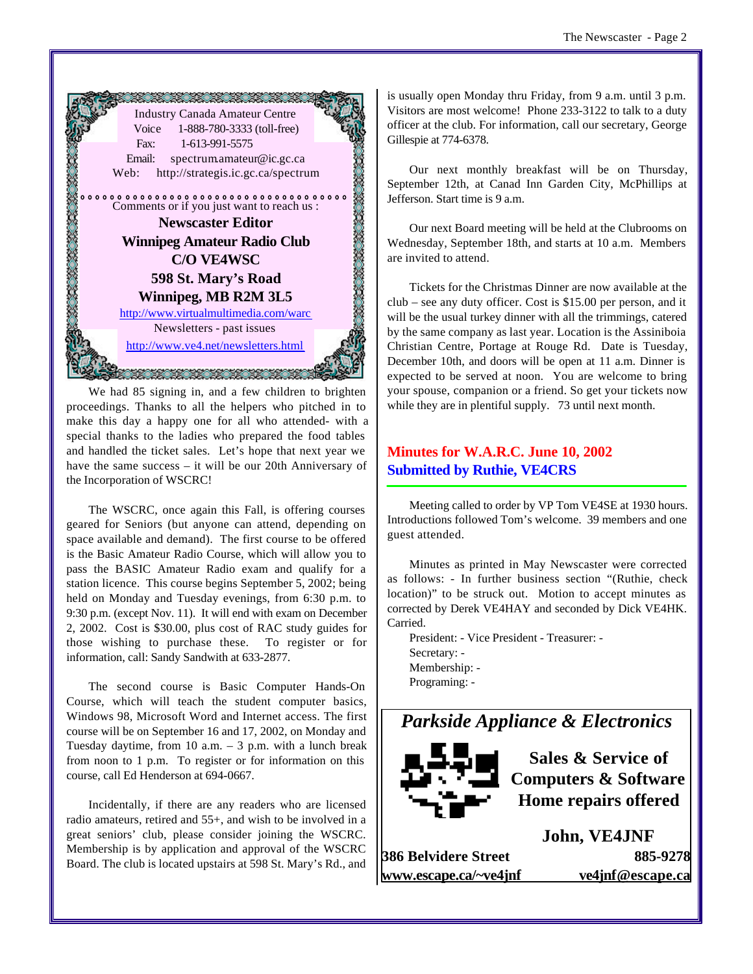

We had 85 signing in, and a few children to brighten proceedings. Thanks to all the helpers who pitched in to make this day a happy one for all who attended- with a special thanks to the ladies who prepared the food tables and handled the ticket sales. Let's hope that next year we have the same success – it will be our 20th Anniversary of the Incorporation of WSCRC!

The WSCRC, once again this Fall, is offering courses geared for Seniors (but anyone can attend, depending on space available and demand). The first course to be offered is the Basic Amateur Radio Course, which will allow you to pass the BASIC Amateur Radio exam and qualify for a station licence. This course begins September 5, 2002; being held on Monday and Tuesday evenings, from 6:30 p.m. to 9:30 p.m. (except Nov. 11). It will end with exam on December 2, 2002. Cost is \$30.00, plus cost of RAC study guides for those wishing to purchase these. To register or for information, call: Sandy Sandwith at 633-2877.

The second course is Basic Computer Hands-On Course, which will teach the student computer basics, Windows 98, Microsoft Word and Internet access. The first course will be on September 16 and 17, 2002, on Monday and Tuesday daytime, from 10 a.m.  $-3$  p.m. with a lunch break from noon to 1 p.m. To register or for information on this course, call Ed Henderson at 694-0667.

Incidentally, if there are any readers who are licensed radio amateurs, retired and 55+, and wish to be involved in a great seniors' club, please consider joining the WSCRC. Membership is by application and approval of the WSCRC Board. The club is located upstairs at 598 St. Mary's Rd., and

is usually open Monday thru Friday, from 9 a.m. until 3 p.m. Visitors are most welcome! Phone 233-3122 to talk to a duty officer at the club. For information, call our secretary, George Gillespie at 774-6378.

Our next monthly breakfast will be on Thursday, September 12th, at Canad Inn Garden City, McPhillips at Jefferson. Start time is 9 a.m.

Our next Board meeting will be held at the Clubrooms on Wednesday, September 18th, and starts at 10 a.m. Members are invited to attend.

Tickets for the Christmas Dinner are now available at the club – see any duty officer. Cost is \$15.00 per person, and it will be the usual turkey dinner with all the trimmings, catered by the same company as last year. Location is the Assiniboia Christian Centre, Portage at Rouge Rd. Date is Tuesday, December 10th, and doors will be open at 11 a.m. Dinner is expected to be served at noon. You are welcome to bring your spouse, companion or a friend. So get your tickets now while they are in plentiful supply. 73 until next month.

# **Minutes for W.A.R.C. June 10, 2002 Submitted by Ruthie, VE4CRS**

Meeting called to order by VP Tom VE4SE at 1930 hours. Introductions followed Tom's welcome. 39 members and one guest attended.

Minutes as printed in May Newscaster were corrected as follows: - In further business section "(Ruthie, check location)" to be struck out. Motion to accept minutes as corrected by Derek VE4HAY and seconded by Dick VE4HK. Carried.

President: - Vice President - Treasurer: - Secretary: - Membership: - Programing: -

# *Parkside Appliance & Electronics*



**Sales & Service of Computers & Software Home repairs offered**

**386 Belvidere Street 885-9278 www.escape.ca/~ve4jnf ve4jnf@escape.ca**

**John, VE4JNF**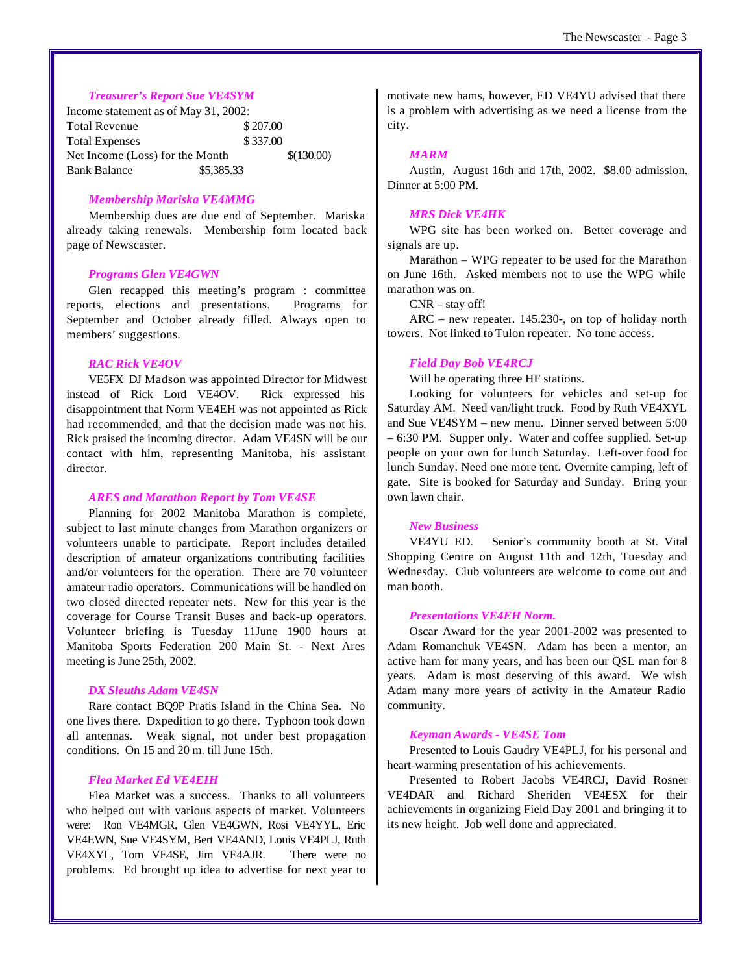## *Treasurer's Report Sue VE4SYM*

Income statement as of May 31, 2002: Total Revenue \$207.00 Total Expenses  $$ 337.00$ Net Income (Loss) for the Month  $\{(130.00)\}$ Bank Balance \$5,385.33

# *Membership Mariska VE4MMG*

Membership dues are due end of September. Mariska already taking renewals. Membership form located back page of Newscaster.

#### *Programs Glen VE4GWN*

Glen recapped this meeting's program : committee reports, elections and presentations. Programs for September and October already filled. Always open to members' suggestions.

# *RAC Rick VE4OV*

VE5FX DJ Madson was appointed Director for Midwest instead of Rick Lord VE4OV. Rick expressed his disappointment that Norm VE4EH was not appointed as Rick had recommended, and that the decision made was not his. Rick praised the incoming director. Adam VE4SN will be our contact with him, representing Manitoba, his assistant director.

# *ARES and Marathon Report by Tom VE4SE*

Planning for 2002 Manitoba Marathon is complete, subject to last minute changes from Marathon organizers or volunteers unable to participate. Report includes detailed description of amateur organizations contributing facilities and/or volunteers for the operation. There are 70 volunteer amateur radio operators. Communications will be handled on two closed directed repeater nets. New for this year is the coverage for Course Transit Buses and back-up operators. Volunteer briefing is Tuesday 11June 1900 hours at Manitoba Sports Federation 200 Main St. - Next Ares meeting is June 25th, 2002.

# *DX Sleuths Adam VE4SN*

Rare contact BQ9P Pratis Island in the China Sea. No one lives there. Dxpedition to go there. Typhoon took down all antennas. Weak signal, not under best propagation conditions. On 15 and 20 m. till June 15th.

# *Flea Market Ed VE4EIH*

Flea Market was a success. Thanks to all volunteers who helped out with various aspects of market. Volunteers were: Ron VE4MGR, Glen VE4GWN, Rosi VE4YYL, Eric VE4EWN, Sue VE4SYM, Bert VE4AND, Louis VE4PLJ, Ruth VE4XYL, Tom VE4SE, Jim VE4AJR. There were no problems. Ed brought up idea to advertise for next year to motivate new hams, however, ED VE4YU advised that there is a problem with advertising as we need a license from the city.

#### *MARM*

Austin, August 16th and 17th, 2002. \$8.00 admission. Dinner at 5:00 PM.

#### *MRS Dick VE4HK*

WPG site has been worked on. Better coverage and signals are up.

Marathon – WPG repeater to be used for the Marathon on June 16th. Asked members not to use the WPG while marathon was on.

CNR – stay off!

ARC – new repeater. 145.230-, on top of holiday north towers. Not linked to Tulon repeater. No tone access.

#### *Field Day Bob VE4RCJ*

Will be operating three HF stations.

Looking for volunteers for vehicles and set-up for Saturday AM. Need van/light truck. Food by Ruth VE4XYL and Sue VE4SYM – new menu. Dinner served between 5:00 – 6:30 PM. Supper only. Water and coffee supplied. Set-up people on your own for lunch Saturday. Left-over food for lunch Sunday. Need one more tent. Overnite camping, left of gate. Site is booked for Saturday and Sunday. Bring your own lawn chair.

#### *New Business*

VE4YU ED. Senior's community booth at St. Vital Shopping Centre on August 11th and 12th, Tuesday and Wednesday. Club volunteers are welcome to come out and man booth.

#### *Presentations VE4EH Norm.*

Oscar Award for the year 2001-2002 was presented to Adam Romanchuk VE4SN. Adam has been a mentor, an active ham for many years, and has been our QSL man for 8 years. Adam is most deserving of this award. We wish Adam many more years of activity in the Amateur Radio community.

#### *Keyman Awards - VE4SE Tom*

Presented to Louis Gaudry VE4PLJ, for his personal and heart-warming presentation of his achievements.

Presented to Robert Jacobs VE4RCJ, David Rosner VE4DAR and Richard Sheriden VE4ESX for their achievements in organizing Field Day 2001 and bringing it to its new height. Job well done and appreciated.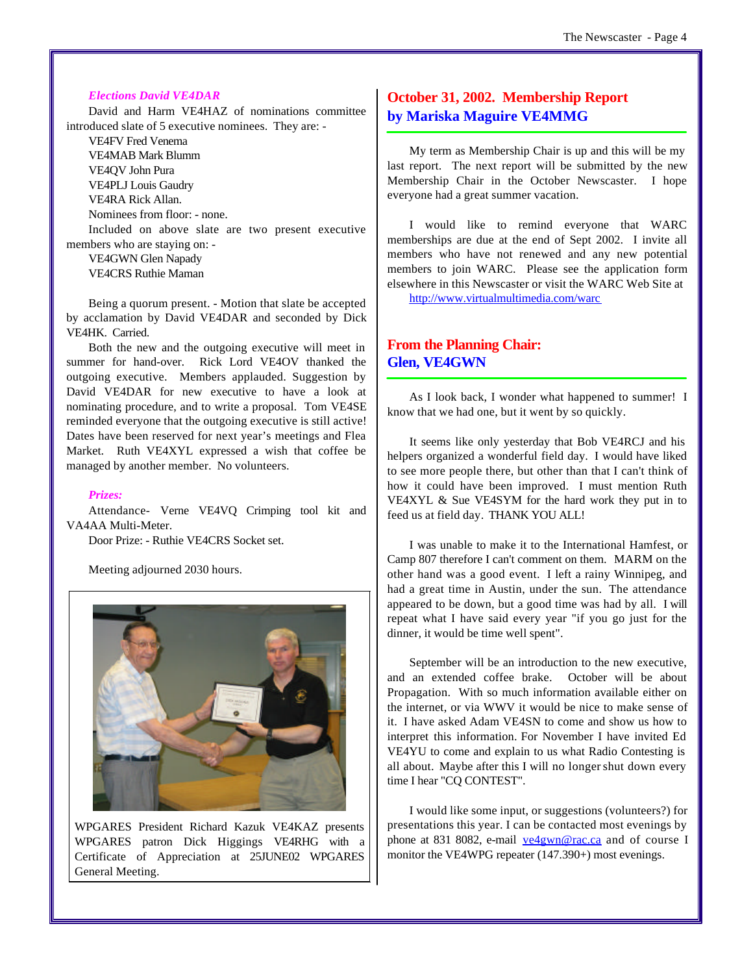# *Elections David VE4DAR*

David and Harm VE4HAZ of nominations committee introduced slate of 5 executive nominees. They are: -

VE4FV Fred Venema VE4MAB Mark Blumm VE4QV John Pura VE4PLJ Louis Gaudry VE4RA Rick Allan. Nominees from floor: - none.

Included on above slate are two present executive members who are staying on: -

VE4GWN Glen Napady VE4CRS Ruthie Maman

Being a quorum present. - Motion that slate be accepted by acclamation by David VE4DAR and seconded by Dick VE4HK. Carried.

Both the new and the outgoing executive will meet in summer for hand-over. Rick Lord VE4OV thanked the outgoing executive. Members applauded. Suggestion by David VE4DAR for new executive to have a look at nominating procedure, and to write a proposal. Tom VE4SE reminded everyone that the outgoing executive is still active! Dates have been reserved for next year's meetings and Flea Market. Ruth VE4XYL expressed a wish that coffee be managed by another member. No volunteers.

# *Prizes:*

Attendance- Verne VE4VQ Crimping tool kit and VA4AA Multi-Meter.

Door Prize: - Ruthie VE4CRS Socket set.

Meeting adjourned 2030 hours.



WPGARES President Richard Kazuk VE4KAZ presents WPGARES patron Dick Higgings VE4RHG with a Certificate of Appreciation at 25JUNE02 WPGARES General Meeting.

# **October 31, 2002. Membership Report by Mariska Maguire VE4MMG**

My term as Membership Chair is up and this will be my last report. The next report will be submitted by the new Membership Chair in the October Newscaster. I hope everyone had a great summer vacation.

I would like to remind everyone that WARC memberships are due at the end of Sept 2002. I invite all members who have not renewed and any new potential members to join WARC. Please see the application form elsewhere in this Newscaster or visit the WARC Web Site at <http://www.virtualmultimedia.com/warc>

# **From the Planning Chair: Glen, VE4GWN**

As I look back, I wonder what happened to summer! I know that we had one, but it went by so quickly.

It seems like only yesterday that Bob VE4RCJ and his helpers organized a wonderful field day. I would have liked to see more people there, but other than that I can't think of how it could have been improved. I must mention Ruth VE4XYL & Sue VE4SYM for the hard work they put in to feed us at field day. THANK YOU ALL!

I was unable to make it to the International Hamfest, or Camp 807 therefore I can't comment on them. MARM on the other hand was a good event. I left a rainy Winnipeg, and had a great time in Austin, under the sun. The attendance appeared to be down, but a good time was had by all. I will repeat what I have said every year "if you go just for the dinner, it would be time well spent".

September will be an introduction to the new executive, and an extended coffee brake. October will be about Propagation. With so much information available either on the internet, or via WWV it would be nice to make sense of it. I have asked Adam VE4SN to come and show us how to interpret this information. For November I have invited Ed VE4YU to come and explain to us what Radio Contesting is all about. Maybe after this I will no longershut down every time I hear "CQ CONTEST".

I would like some input, or suggestions (volunteers?) for presentations this year. I can be contacted most evenings by phone at 831 8082, e-mail ye4gwn@rac.ca and of course I monitor the VE4WPG repeater (147.390+) most evenings.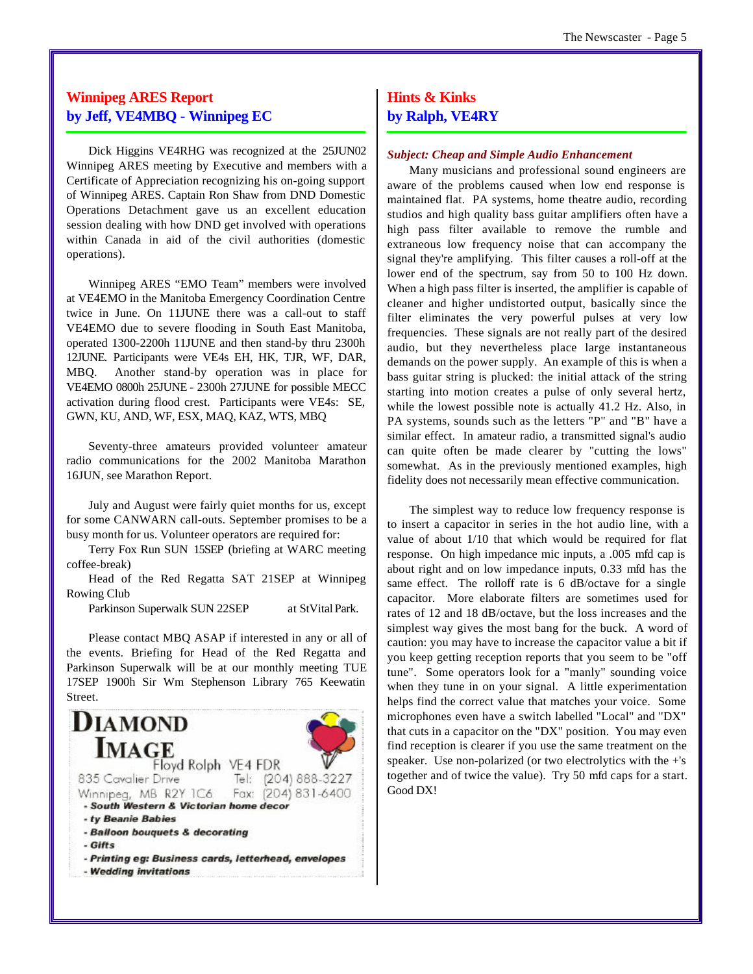# **Winnipeg ARES Report by Jeff, VE4MBQ - Winnipeg EC**

Dick Higgins VE4RHG was recognized at the 25JUN02 Winnipeg ARES meeting by Executive and members with a Certificate of Appreciation recognizing his on-going support of Winnipeg ARES. Captain Ron Shaw from DND Domestic Operations Detachment gave us an excellent education session dealing with how DND get involved with operations within Canada in aid of the civil authorities (domestic operations).

Winnipeg ARES "EMO Team" members were involved at VE4EMO in the Manitoba Emergency Coordination Centre twice in June. On 11JUNE there was a call-out to staff VE4EMO due to severe flooding in South East Manitoba, operated 1300-2200h 11JUNE and then stand-by thru 2300h 12JUNE. Participants were VE4s EH, HK, TJR, WF, DAR, MBQ. Another stand-by operation was in place for VE4EMO 0800h 25JUNE - 2300h 27JUNE for possible MECC activation during flood crest. Participants were VE4s: SE, GWN, KU, AND, WF, ESX, MAQ, KAZ, WTS, MBQ

Seventy-three amateurs provided volunteer amateur radio communications for the 2002 Manitoba Marathon 16JUN, see Marathon Report.

July and August were fairly quiet months for us, except for some CANWARN call-outs. September promises to be a busy month for us. Volunteer operators are required for:

Terry Fox Run SUN 15SEP (briefing at WARC meeting coffee-break)

Head of the Red Regatta SAT 21SEP at Winnipeg Rowing Club

Parkinson Superwalk SUN 22SEP at StVital Park.

Please contact MBQ ASAP if interested in any or all of the events. Briefing for Head of the Red Regatta and Parkinson Superwalk will be at our monthly meeting TUE 17SEP 1900h Sir Wm Stephenson Library 765 Keewatin Street.



# **Hints & Kinks by Ralph, VE4RY**

## *Subject: Cheap and Simple Audio Enhancement*

Many musicians and professional sound engineers are aware of the problems caused when low end response is maintained flat. PA systems, home theatre audio, recording studios and high quality bass guitar amplifiers often have a high pass filter available to remove the rumble and extraneous low frequency noise that can accompany the signal they're amplifying. This filter causes a roll-off at the lower end of the spectrum, say from 50 to 100 Hz down. When a high pass filter is inserted, the amplifier is capable of cleaner and higher undistorted output, basically since the filter eliminates the very powerful pulses at very low frequencies. These signals are not really part of the desired audio, but they nevertheless place large instantaneous demands on the power supply. An example of this is when a bass guitar string is plucked: the initial attack of the string starting into motion creates a pulse of only several hertz, while the lowest possible note is actually 41.2 Hz. Also, in PA systems, sounds such as the letters "P" and "B" have a similar effect. In amateur radio, a transmitted signal's audio can quite often be made clearer by "cutting the lows" somewhat. As in the previously mentioned examples, high fidelity does not necessarily mean effective communication.

The simplest way to reduce low frequency response is to insert a capacitor in series in the hot audio line, with a value of about 1/10 that which would be required for flat response. On high impedance mic inputs, a .005 mfd cap is about right and on low impedance inputs, 0.33 mfd has the same effect. The rolloff rate is 6 dB/octave for a single capacitor. More elaborate filters are sometimes used for rates of 12 and 18 dB/octave, but the loss increases and the simplest way gives the most bang for the buck. A word of caution: you may have to increase the capacitor value a bit if you keep getting reception reports that you seem to be "off tune". Some operators look for a "manly" sounding voice when they tune in on your signal. A little experimentation helps find the correct value that matches your voice. Some microphones even have a switch labelled "Local" and "DX" that cuts in a capacitor on the "DX" position. You may even find reception is clearer if you use the same treatment on the speaker. Use non-polarized (or two electrolytics with the +'s together and of twice the value). Try 50 mfd caps for a start. Good DX!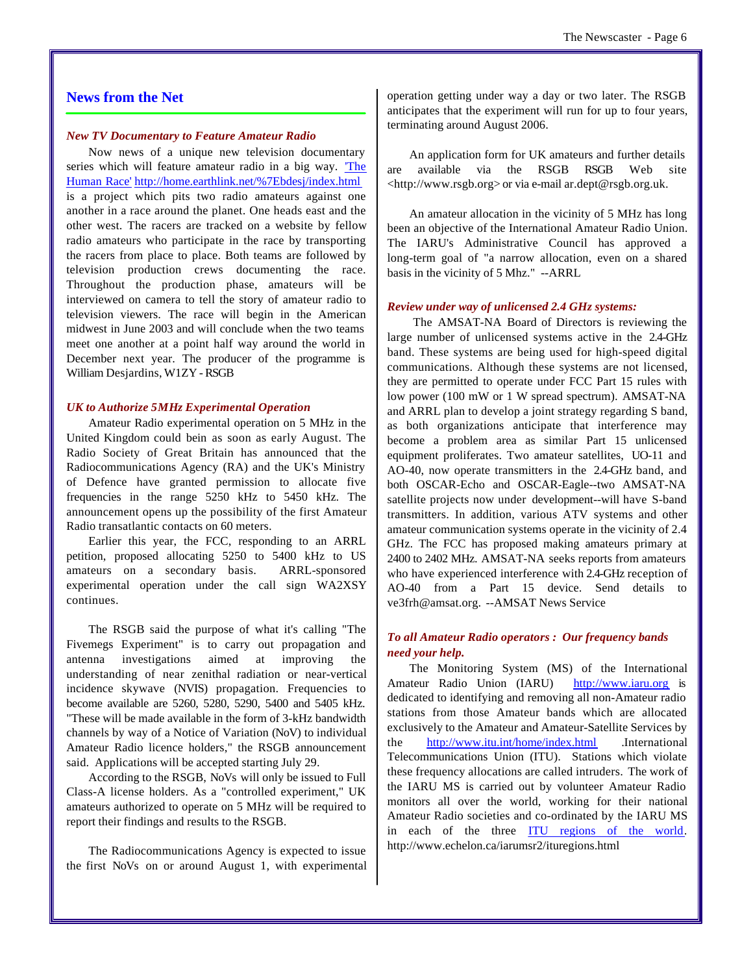# **News from the Net**

#### *New TV Documentary to Feature Amateur Radio*

Now news of a unique new television documentary series which will feature amateur radio in a big way. The Human Race' <http://home.earthlink.net/%7Ebdesj/index.html> is a project which pits two radio amateurs against one another in a race around the planet. One heads east and the other west. The racers are tracked on a website by fellow radio amateurs who participate in the race by transporting the racers from place to place. Both teams are followed by television production crews documenting the race. Throughout the production phase, amateurs will be interviewed on camera to tell the story of amateur radio to television viewers. The race will begin in the American midwest in June 2003 and will conclude when the two teams meet one another at a point half way around the world in December next year. The producer of the programme is William Desjardins, W1ZY - RSGB

#### *UK to Authorize 5MHz Experimental Operation*

Amateur Radio experimental operation on 5 MHz in the United Kingdom could bein as soon as early August. The Radio Society of Great Britain has announced that the Radiocommunications Agency (RA) and the UK's Ministry of Defence have granted permission to allocate five frequencies in the range 5250 kHz to 5450 kHz. The announcement opens up the possibility of the first Amateur Radio transatlantic contacts on 60 meters.

Earlier this year, the FCC, responding to an ARRL petition, proposed allocating 5250 to 5400 kHz to US amateurs on a secondary basis. ARRL-sponsored experimental operation under the call sign WA2XSY continues.

The RSGB said the purpose of what it's calling "The Fivemegs Experiment" is to carry out propagation and antenna investigations aimed at improving the understanding of near zenithal radiation or near-vertical incidence skywave (NVIS) propagation. Frequencies to become available are 5260, 5280, 5290, 5400 and 5405 kHz. "These will be made available in the form of 3-kHz bandwidth channels by way of a Notice of Variation (NoV) to individual Amateur Radio licence holders," the RSGB announcement said. Applications will be accepted starting July 29.

According to the RSGB, NoVs will only be issued to Full Class-A license holders. As a "controlled experiment," UK amateurs authorized to operate on 5 MHz will be required to report their findings and results to the RSGB.

The Radiocommunications Agency is expected to issue the first NoVs on or around August 1, with experimental operation getting under way a day or two later. The RSGB anticipates that the experiment will run for up to four years, terminating around August 2006.

An application form for UK amateurs and further details are available via the RSGB RSGB Web site [<http://www.rsgb.org>](http://www.rsgb.org) or via e-mail ar.dept@rsgb.org.uk.

An amateur allocation in the vicinity of 5 MHz has long been an objective of the International Amateur Radio Union. The IARU's Administrative Council has approved a long-term goal of "a narrow allocation, even on a shared basis in the vicinity of 5 Mhz." --ARRL

#### *Review under way of unlicensed 2.4 GHz systems:*

 The AMSAT-NA Board of Directors is reviewing the large number of unlicensed systems active in the 2.4-GHz band. These systems are being used for high-speed digital communications. Although these systems are not licensed, they are permitted to operate under FCC Part 15 rules with low power (100 mW or 1 W spread spectrum). AMSAT-NA and ARRL plan to develop a joint strategy regarding S band, as both organizations anticipate that interference may become a problem area as similar Part 15 unlicensed equipment proliferates. Two amateur satellites, UO-11 and AO-40, now operate transmitters in the 2.4-GHz band, and both OSCAR-Echo and OSCAR-Eagle--two AMSAT-NA satellite projects now under development--will have S-band transmitters. In addition, various ATV systems and other amateur communication systems operate in the vicinity of 2.4 GHz. The FCC has proposed making amateurs primary at 2400 to 2402 MHz. AMSAT-NA seeks reports from amateurs who have experienced interference with 2.4-GHz reception of AO-40 from a Part 15 device. Send details to ve3frh@amsat.org. --AMSAT News Service

# *To all Amateur Radio operators : Our frequency bands need your help.*

The Monitoring System (MS) of the International Amateur Radio Union (IARU) <http://www.iaru.org> is dedicated to identifying and removing all non-Amateur radio stations from those Amateur bands which are allocated exclusively to the Amateur and Amateur-Satellite Services by the <http://www.itu.int/home/index.html> .International Telecommunications Union (ITU). Stations which violate these frequency allocations are called intruders. The work of the IARU MS is carried out by volunteer Amateur Radio monitors all over the world, working for their national Amateur Radio societies and co-ordinated by the IARU MS in each of the three ITU regions of the world. <http://www.echelon.ca/iarumsr2/ituregions.html>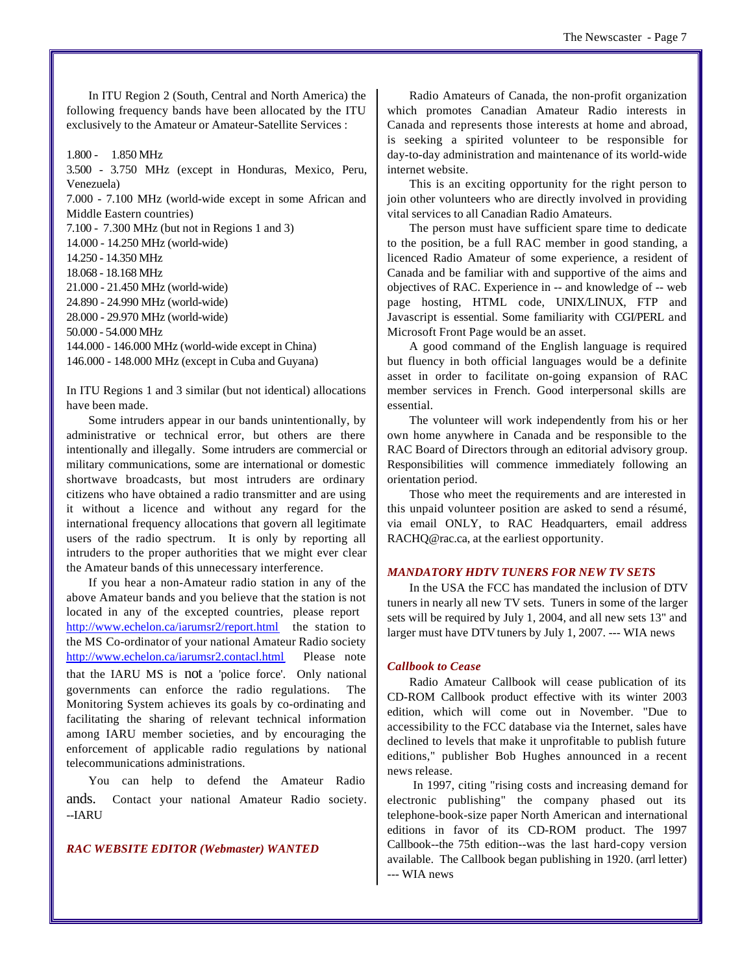In ITU Region 2 (South, Central and North America) the following frequency bands have been allocated by the ITU exclusively to the Amateur or Amateur-Satellite Services :

1.800 - 1.850 MHz 3.500 - 3.750 MHz (except in Honduras, Mexico, Peru, Venezuela) 7.000 - 7.100 MHz (world-wide except in some African and Middle Eastern countries) 7.100 - 7.300 MHz (but not in Regions 1 and 3) 14.000 - 14.250 MHz (world-wide) 14.250 - 14.350 MHz 18.068 - 18.168 MHz 21.000 - 21.450 MHz (world-wide) 24.890 - 24.990 MHz (world-wide) 28.000 - 29.970 MHz (world-wide) 50.000 - 54.000 MHz 144.000 - 146.000 MHz (world-wide except in China) 146.000 - 148.000 MHz (except in Cuba and Guyana)

In ITU Regions 1 and 3 similar (but not identical) allocations have been made.

Some intruders appear in our bands unintentionally, by administrative or technical error, but others are there intentionally and illegally. Some intruders are commercial or military communications, some are international or domestic shortwave broadcasts, but most intruders are ordinary citizens who have obtained a radio transmitter and are using it without a licence and without any regard for the international frequency allocations that govern all legitimate users of the radio spectrum. It is only by reporting all intruders to the proper authorities that we might ever clear the Amateur bands of this unnecessary interference.

If you hear a non-Amateur radio station in any of the above Amateur bands and you believe that the station is not located in any of the excepted countries, please report <http://www.echelon.ca/iarumsr2/report.html> the station to the MS Co-ordinator of your national Amateur Radio society <http://www.echelon.ca/iarumsr2.contacl.html> Please note that the IARU MS is not a 'police force'. Only national governments can enforce the radio regulations. The Monitoring System achieves its goals by co-ordinating and facilitating the sharing of relevant technical information among IARU member societies, and by encouraging the enforcement of applicable radio regulations by national telecommunications administrations.

You can help to defend the Amateur Radio ands. Contact your national Amateur Radio society. --IARU

# *RAC WEBSITE EDITOR (Webmaster) WANTED*

Radio Amateurs of Canada, the non-profit organization which promotes Canadian Amateur Radio interests in Canada and represents those interests at home and abroad, is seeking a spirited volunteer to be responsible for day-to-day administration and maintenance of its world-wide internet website.

This is an exciting opportunity for the right person to join other volunteers who are directly involved in providing vital services to all Canadian Radio Amateurs.

The person must have sufficient spare time to dedicate to the position, be a full RAC member in good standing, a licenced Radio Amateur of some experience, a resident of Canada and be familiar with and supportive of the aims and objectives of RAC. Experience in -- and knowledge of -- web page hosting, HTML code, UNIX/LINUX, FTP and Javascript is essential. Some familiarity with CGI/PERL and Microsoft Front Page would be an asset.

A good command of the English language is required but fluency in both official languages would be a definite asset in order to facilitate on-going expansion of RAC member services in French. Good interpersonal skills are essential.

The volunteer will work independently from his or her own home anywhere in Canada and be responsible to the RAC Board of Directors through an editorial advisory group. Responsibilities will commence immediately following an orientation period.

Those who meet the requirements and are interested in this unpaid volunteer position are asked to send a résumé, via email ONLY, to RAC Headquarters, email address RACHQ@rac.ca, at the earliest opportunity.

# *MANDATORY HDTV TUNERS FOR NEW TV SETS*

In the USA the FCC has mandated the inclusion of DTV tuners in nearly all new TV sets. Tuners in some of the larger sets will be required by July 1, 2004, and all new sets 13" and larger must have DTV tuners by July 1, 2007. --- WIA news

## *Callbook to Cease*

Radio Amateur Callbook will cease publication of its CD-ROM Callbook product effective with its winter 2003 edition, which will come out in November. "Due to accessibility to the FCC database via the Internet, sales have declined to levels that make it unprofitable to publish future editions," publisher Bob Hughes announced in a recent news release.

 In 1997, citing "rising costs and increasing demand for electronic publishing" the company phased out its telephone-book-size paper North American and international editions in favor of its CD-ROM product. The 1997 Callbook--the 75th edition--was the last hard-copy version available. The Callbook began publishing in 1920. (arrl letter) --- WIA news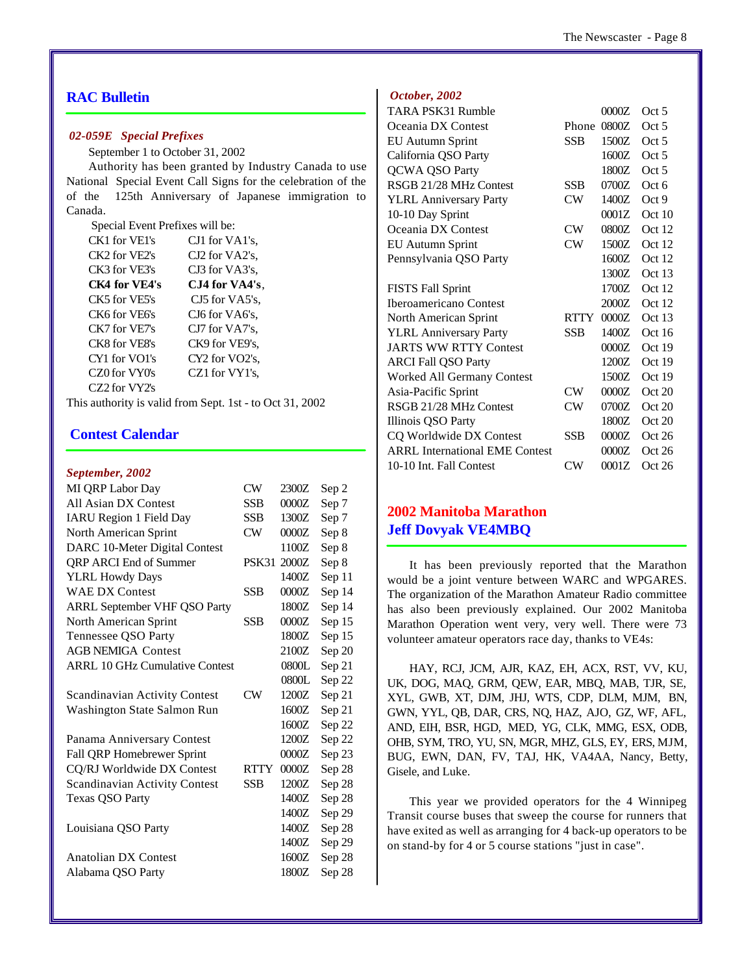# **RAC Bulletin**

#### *02-059E Special Prefixes*

September 1 to October 31, 2002

Authority has been granted by Industry Canada to use National Special Event Call Signs for the celebration of the of the 125th Anniversary of Japanese immigration to Canada.

Special Event Prefixes will be:

| CK1 for VE1's | CJ1 for VA1's. |
|---------------|----------------|
| CK2 for VE2's | CJ2 for VA2's. |
| CK3 for VE3's | CJ3 for VA3's. |
| CK4 for VE4's | CJ4 for VA4's. |
| CK5 for VE5's | CJ5 for VA5's. |
| CK6 for VF6's | CJ6 for VA6's. |
| CK7 for VE7's | CJ7 for VA7's. |
| CK8 for VE8's | CK9 for VE9's. |
| CY1 for VO1's | CY2 for VO2's, |
| CZ0 for VY0's | CZ1 for VY1's. |
| CZ2 for VY2's |                |
|               |                |

This authority is valid from Sept. 1st - to Oct 31, 2002

# **Contest Calendar**

### *September, 2002*

| CW          | 2300Z | Sep 2  |
|-------------|-------|--------|
| <b>SSB</b>  | 0000Z | Sep 7  |
| <b>SSB</b>  | 1300Z | Sep 7  |
| CW          | 0000Z | Sep 8  |
|             | 1100Z | Sep 8  |
| PSK31       | 2000Z | Sep 8  |
|             | 1400Z | Sep 11 |
| <b>SSB</b>  | 0000Z | Sep 14 |
|             | 1800Z | Sep 14 |
| <b>SSB</b>  | 0000Z | Sep 15 |
|             | 1800Z | Sep 15 |
|             | 2100Z | Sep 20 |
|             | 0800L | Sep 21 |
|             | 0800L | Sep 22 |
| CW          | 1200Z | Sep 21 |
|             | 1600Z | Sep 21 |
|             | 1600Z | Sep 22 |
|             | 1200Z | Sep 22 |
|             | 0000Z | Sep 23 |
| <b>RTTY</b> | 0000Z | Sep 28 |
| SSB         | 1200Z | Sep 28 |
|             | 1400Z | Sep 28 |
|             | 1400Z | Sep 29 |
|             | 1400Z | Sep 28 |
|             | 1400Z | Sep 29 |
|             | 1600Z | Sep 28 |
|             | 1800Z | Sep 28 |
|             |       |        |

#### *October, 2002*

| TARA PSK31 Rumble                     |             | 0000Z   | Oct 5    |
|---------------------------------------|-------------|---------|----------|
| Oceania DX Contest                    | Phone       | 0800Z   | Oct 5    |
| EU Autumn Sprint                      | <b>SSB</b>  | 1500Z   | Oct 5    |
| California QSO Party                  |             | 1600Z   | Oct 5    |
| <b>QCWA QSO Party</b>                 |             | 1800Z   | Oct 5    |
| RSGB 21/28 MHz Contest                | <b>SSB</b>  | 0700Z   | Oct 6    |
| <b>YLRL Anniversary Party</b>         | CW          | 1400Z   | Oct 9    |
| 10-10 Day Sprint                      |             | 0001Z   | Oct 10   |
| Oceania DX Contest                    | CW.         | 0800Z   | Oct 12   |
| <b>EU Autumn Sprint</b>               | CW          | 1500Z   | Oct 12   |
| Pennsylvania QSO Party                |             | 1600Z   | Oct 12   |
|                                       |             | 1300Z   | Oct 13   |
| <b>FISTS Fall Sprint</b>              |             | 1700Z   | Oct 12   |
| Iberoamericano Contest                |             | 2000Z   | Oct 12   |
| North American Sprint                 | <b>RTTY</b> | 0000Z   | Oct $13$ |
| <b>YLRL Anniversary Party</b>         | SSB         | 1400Z   | Oct16    |
| <b>JARTS WW RTTY Contest</b>          |             | 0000Z   | Oct 19   |
| <b>ARCI Fall QSO Party</b>            |             | 1200Z   | Oct 19   |
| Worked All Germany Contest            |             | 1500Z   | Oct 19   |
| Asia-Pacific Sprint                   | CW.         | 0000Z   | Oct 20   |
| RSGB 21/28 MHz Contest                | CW          | 0700Z   | Oct 20   |
| Illinois QSO Party                    |             | 1800Z   | Oct 20   |
| CQ Worldwide DX Contest               | SSB         | $0000Z$ | Oct 26   |
| <b>ARRL International EME Contest</b> |             | 0000Z   | Oct26    |
| 10-10 Int. Fall Contest               | CW          | 0001Z   | Oct 26   |

# **2002 Manitoba Marathon Jeff Dovyak VE4MBQ**

It has been previously reported that the Marathon would be a joint venture between WARC and WPGARES. The organization of the Marathon Amateur Radio committee has also been previously explained. Our 2002 Manitoba Marathon Operation went very, very well. There were 73 volunteer amateur operators race day, thanks to VE4s:

HAY, RCJ, JCM, AJR, KAZ, EH, ACX, RST, VV, KU, UK, DOG, MAQ, GRM, QEW, EAR, MBQ, MAB, TJR, SE, XYL, GWB, XT, DJM, JHJ, WTS, CDP, DLM, MJM, BN, GWN, YYL, QB, DAR, CRS, NQ, HAZ, AJO, GZ, WF, AFL, AND, EIH, BSR, HGD, MED, YG, CLK, MMG, ESX, ODB, OHB, SYM, TRO, YU, SN, MGR, MHZ, GLS, EY, ERS, MJM, BUG, EWN, DAN, FV, TAJ, HK, VA4AA, Nancy, Betty, Gisele, and Luke.

This year we provided operators for the 4 Winnipeg Transit course buses that sweep the course for runners that have exited as well as arranging for 4 back-up operators to be on stand-by for 4 or 5 course stations "just in case".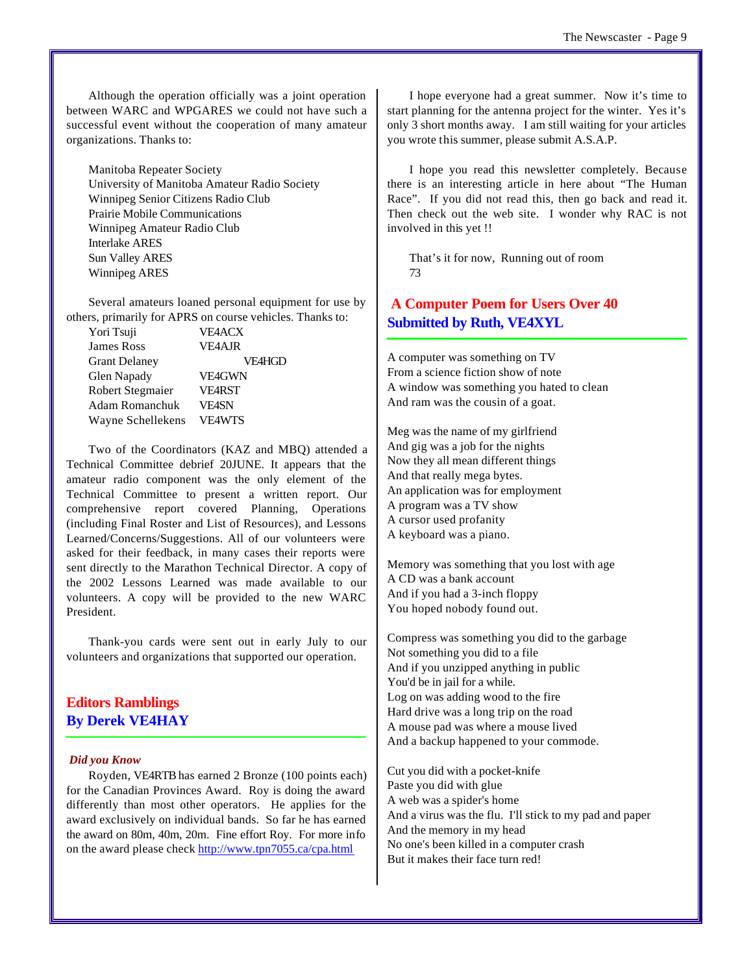Although the operation officially was a joint operation between WARC and WPGARES we could not have such a successful event without the cooperation of many amateur organizations. Thanks to:

Manitoba Repeater Society University of Manitoba Amateur Radio Society Winnipeg Senior Citizens Radio Club Prairie Mobile Communications Winnipeg Amateur Radio Club Interlake ARES Sun Valley ARES Winnipeg ARES

Several amateurs loaned personal equipment for use by others, primarily for APRS on course vehicles. Thanks to:

| Yori Tsuji           | <b>VE4ACX</b> |
|----------------------|---------------|
| James Ross           | <b>VE4AJR</b> |
| <b>Grant Delaney</b> | <b>VE4HGD</b> |
| Glen Napady          | <b>VE4GWN</b> |
| Robert Stegmaier     | <b>VE4RST</b> |
| Adam Romanchuk       | <b>VFASN</b>  |
| Wayne Schellekens    | <b>VE4WTS</b> |

Two of the Coordinators (KAZ and MBQ) attended a Technical Committee debrief 20JUNE. It appears that the amateur radio component was the only element of the Technical Committee to present a written report. Our comprehensive report covered Planning, Operations (including Final Roster and List of Resources), and Lessons Learned/Concerns/Suggestions. All of our volunteers were asked for their feedback, in many cases their reports were sent directly to the Marathon Technical Director. A copy of the 2002 Lessons Learned was made available to our volunteers. A copy will be provided to the new WARC President.

Thank-you cards were sent out in early July to our volunteers and organizations that supported our operation.

# **Editors Ramblings By Derek VE4HAY**

#### *Did you Know*

Royden, VE4RTB has earned 2 Bronze (100 points each) for the Canadian Provinces Award. Roy is doing the award differently than most other operators. He applies for the award exclusively on individual bands. So far he has earned the award on 80m, 40m, 20m. Fine effort Roy. For more info on the award please check<http://www.tpn7055.ca/cpa.html>

I hope everyone had a great summer. Now it's time to start planning for the antenna project for the winter. Yes it's only 3 short months away. I am still waiting for your articles you wrote this summer, please submit A.S.A.P.

I hope you read this newsletter completely. Because there is an interesting article in here about "The Human Race". If you did not read this, then go back and read it. Then check out the web site. I wonder why RAC is not involved in this yet !!

That's it for now, Running out of room 73

# **A Computer Poem for Users Over 40 Submitted by Ruth, VE4XYL**

A computer was something on TV From a science fiction show of note A window was something you hated to clean And ram was the cousin of a goat.

Meg was the name of my girlfriend And gig was a job for the nights Now they all mean different things And that really mega bytes. An application was for employment A program was a TV show A cursor used profanity A keyboard was a piano.

Memory was something that you lost with age A CD was a bank account And if you had a 3-inch floppy You hoped nobody found out.

Compress was something you did to the garbage Not something you did to a file And if you unzipped anything in public You'd be in jail for a while. Log on was adding wood to the fire Hard drive was a long trip on the road A mouse pad was where a mouse lived And a backup happened to your commode.

Cut you did with a pocket-knife Paste you did with glue A web was a spider's home And a virus was the flu. I'll stick to my pad and paper And the memory in my head No one's been killed in a computer crash But it makes their face turn red!